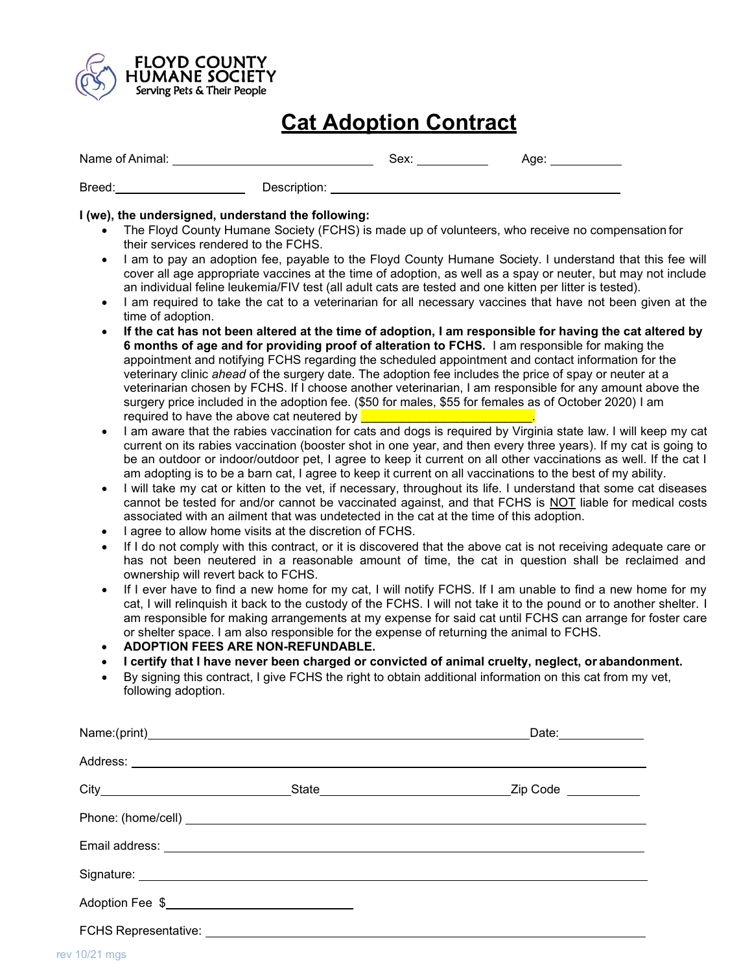

## **Cat Adoption Contract**

| Name of Animal: |              | Sex: | Age: |  |
|-----------------|--------------|------|------|--|
| Breed:          | Description: |      |      |  |

## **I (we), the undersigned, understand the following:**

- The Floyd County Humane Society (FCHS) is made up of volunteers, who receive no compensation for their services rendered to the FCHS.
- I am to pay an adoption fee, payable to the Floyd County Humane Society. I understand that this fee will cover all age appropriate vaccines at the time of adoption, as well as a spay or neuter, but may not include an individual feline leukemia/FIV test (all adult cats are tested and one kitten per litter is tested).
- I am required to take the cat to a veterinarian for all necessary vaccines that have not been given at the time of adoption.
- **If the cat has not been altered at the time of adoption, I am responsible for having the cat altered by 6 months of age and for providing proof of alteration to FCHS.** I am responsible for making the appointment and notifying FCHS regarding the scheduled appointment and contact information for the veterinary clinic *ahead* of the surgery date. The adoption fee includes the price of spay or neuter at a veterinarian chosen by FCHS. If I choose another veterinarian, I am responsible for any amount above the surgery price included in the adoption fee. (\$50 for males, \$55 for females as of October 2020) I am required to have the above cat neutered by
- I am aware that the rabies vaccination for cats and dogs is required by Virginia state law. I will keep my cat current on its rabies vaccination (booster shot in one year, and then every three years). If my cat is going to be an outdoor or indoor/outdoor pet, I agree to keep it current on all other vaccinations as well. If the cat I am adopting is to be a barn cat, I agree to keep it current on all vaccinations to the best of my ability.
- I will take my cat or kitten to the vet, if necessary, throughout its life. I understand that some cat diseases cannot be tested for and/or cannot be vaccinated against, and that FCHS is NOT liable for medical costs associated with an ailment that was undetected in the cat at the time of this adoption.
- I agree to allow home visits at the discretion of FCHS.
- If I do not comply with this contract, or it is discovered that the above cat is not receiving adequate care or has not been neutered in a reasonable amount of time, the cat in question shall be reclaimed and ownership will revert back to FCHS.
- If I ever have to find a new home for my cat, I will notify FCHS. If I am unable to find a new home for my cat, I will relinquish it back to the custody of the FCHS. I will not take it to the pound or to another shelter. I am responsible for making arrangements at my expense for said cat until FCHS can arrange for foster care or shelter space. I am also responsible for the expense of returning the animal to FCHS.
- **ADOPTION FEES ARE NON-REFUNDABLE.**
- **I certify that I have never been charged or convicted of animal cruelty, neglect, or abandonment.**
- By signing this contract, I give FCHS the right to obtain additional information on this cat from my vet, following adoption.

|  | Date: ______________ |
|--|----------------------|
|  |                      |
|  |                      |
|  |                      |
|  |                      |
|  |                      |
|  |                      |
|  |                      |